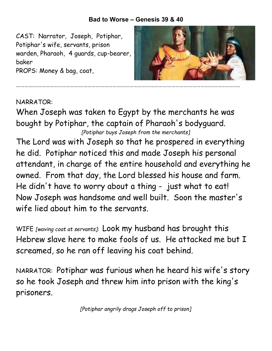## **Bad to Worse – Genesis 39 & 40**

CAST: Narrator, Joseph, Potiphar, Potiphar's wife, servants, prison warden, Pharaoh, 4 guards, cup-bearer, baker

PROPS: Money & bag, coat,



## NARRATOR:

When Joseph was taken to Egypt by the merchants he was bought by Potiphar, the captain of Pharaoh's bodyguard. *[Potiphar buys Joseph from the merchants]*

The Lord was with Joseph so that he prospered in everything he did. Potiphar noticed this and made Joseph his personal attendant, in charge of the entire household and everything he owned. From that day, the Lord blessed his house and farm. He didn't have to worry about a thing - just what to eat! Now Joseph was handsome and well built. Soon the master's wife lied about him to the servants.

WIFE *[waving coat at servants]:* Look my husband has brought this Hebrew slave here to make fools of us. He attacked me but I screamed, so he ran off leaving his coat behind.

NARRATOR: Potiphar was furious when he heard his wife's story so he took Joseph and threw him into prison with the king's prisoners.

*[Potiphar angrily drags Joseph off to prison]*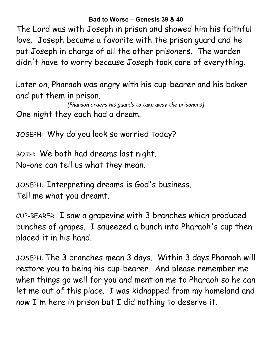**Bad to Worse – Genesis 39 & 40**

The Lord was with Joseph in prison and showed him his faithful love. Joseph became a favorite with the prison guard and he put Joseph in charge of all the other prisoners. The warden didn't have to worry because Joseph took care of everything.

Later on, Pharaoh was angry with his cup-bearer and his baker and put them in prison.

*[Pharaoh orders his guards to take away the prisoners]* One night they each had a dream.

JOSEPH: Why do you look so worried today?

BOTH: We both had dreams last night. No-one can tell us what they mean.

JOSEPH: Interpreting dreams is God's business. Tell me what you dreamt.

CUP-BEARER: I saw a grapevine with 3 branches which produced bunches of grapes. I squeezed a bunch into Pharaoh's cup then placed it in his hand.

JOSEPH: The 3 branches mean 3 days. Within 3 days Pharaoh will restore you to being his cup-bearer. And please remember me when things go well for you and mention me to Pharaoh so he can let me out of this place. I was kidnapped from my homeland and now I'm here in prison but I did nothing to deserve it.